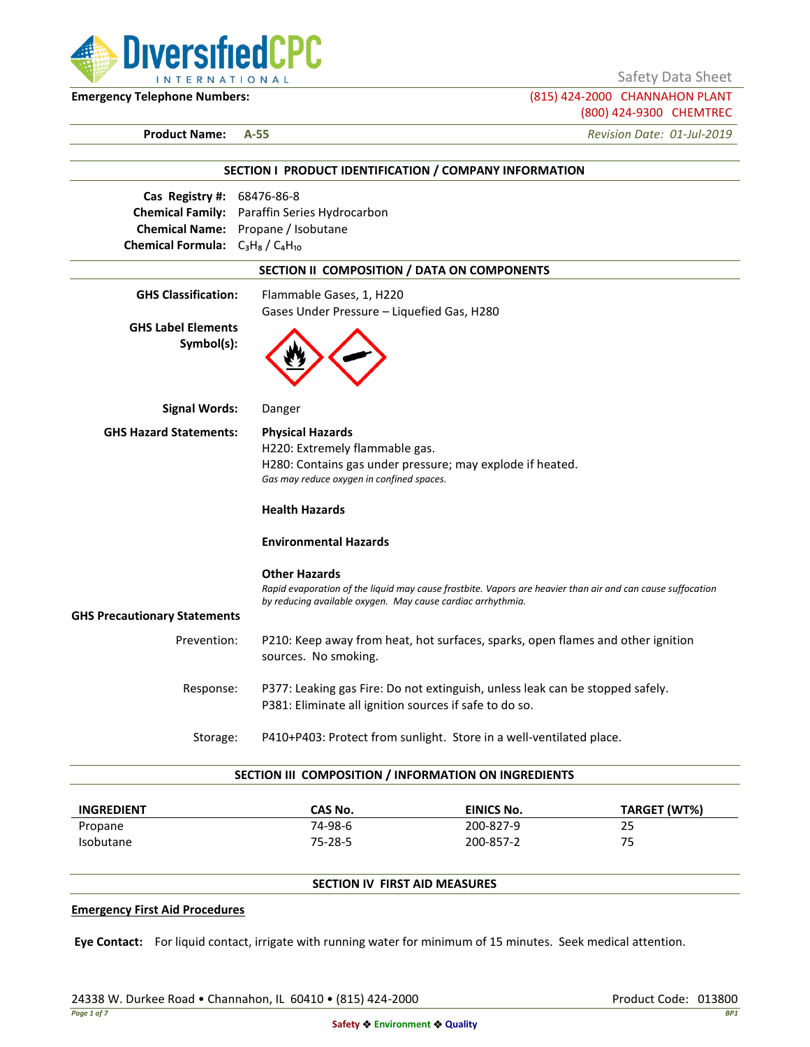

Safety Data Sheet

**Emergency Telephone Numbers:** (815) 424-2000 CHANNAHON PLANT (800) 424-9300 CHEMTREC

**Product Name: A-55** *Revision Date: 01-Jul-2019*

|                                         | SECTION I PRODUCT IDENTIFICATION / COMPANY INFORMATION                                                     |
|-----------------------------------------|------------------------------------------------------------------------------------------------------------|
| Cas Registry #: 68476-86-8              |                                                                                                            |
|                                         | <b>Chemical Family:</b> Paraffin Series Hydrocarbon                                                        |
|                                         | Chemical Name: Propane / Isobutane                                                                         |
| Chemical Formula: $C_3H_8/C_4H_{10}$    |                                                                                                            |
|                                         | SECTION II COMPOSITION / DATA ON COMPONENTS                                                                |
| <b>GHS Classification:</b>              | Flammable Gases, 1, H220                                                                                   |
|                                         | Gases Under Pressure - Liquefied Gas, H280                                                                 |
| <b>GHS Label Elements</b><br>Symbol(s): |                                                                                                            |
| <b>Signal Words:</b>                    | Danger                                                                                                     |
| <b>GHS Hazard Statements:</b>           | <b>Physical Hazards</b>                                                                                    |
|                                         | H220: Extremely flammable gas.                                                                             |
|                                         | H280: Contains gas under pressure; may explode if heated.                                                  |
|                                         | Gas may reduce oxygen in confined spaces.                                                                  |
|                                         | <b>Health Hazards</b>                                                                                      |
|                                         | <b>Environmental Hazards</b>                                                                               |
|                                         | <b>Other Hazards</b>                                                                                       |
|                                         | Rapid evaporation of the liquid may cause frostbite. Vapors are heavier than air and can cause suffocation |
| <b>GHS Precautionary Statements</b>     | by reducing available oxygen. May cause cardiac arrhythmia.                                                |
|                                         |                                                                                                            |
| Prevention:                             | P210: Keep away from heat, hot surfaces, sparks, open flames and other ignition<br>sources. No smoking.    |
| Response:                               | P377: Leaking gas Fire: Do not extinguish, unless leak can be stopped safely.                              |
|                                         | P381: Eliminate all ignition sources if safe to do so.                                                     |
| Storage:                                | P410+P403: Protect from sunlight. Store in a well-ventilated place.                                        |

| <b>INGREDIENT</b> | CAS No. | EINICS No. | TARGET (WT%) |
|-------------------|---------|------------|--------------|
| Propane           | 74-98-6 | 200-827-9  | 25           |
| <b>Isobutane</b>  | 75-28-5 | 200-857-2  | 75           |

## **SECTION IV FIRST AID MEASURES**

#### **Emergency First Aid Procedures**

**Eye Contact:** For liquid contact, irrigate with running water for minimum of 15 minutes. Seek medical attention.

24338 W. Durkee Road • Channahon, IL 60410 • (815) 424-2000 Product Code: 013800 Product Code: 013800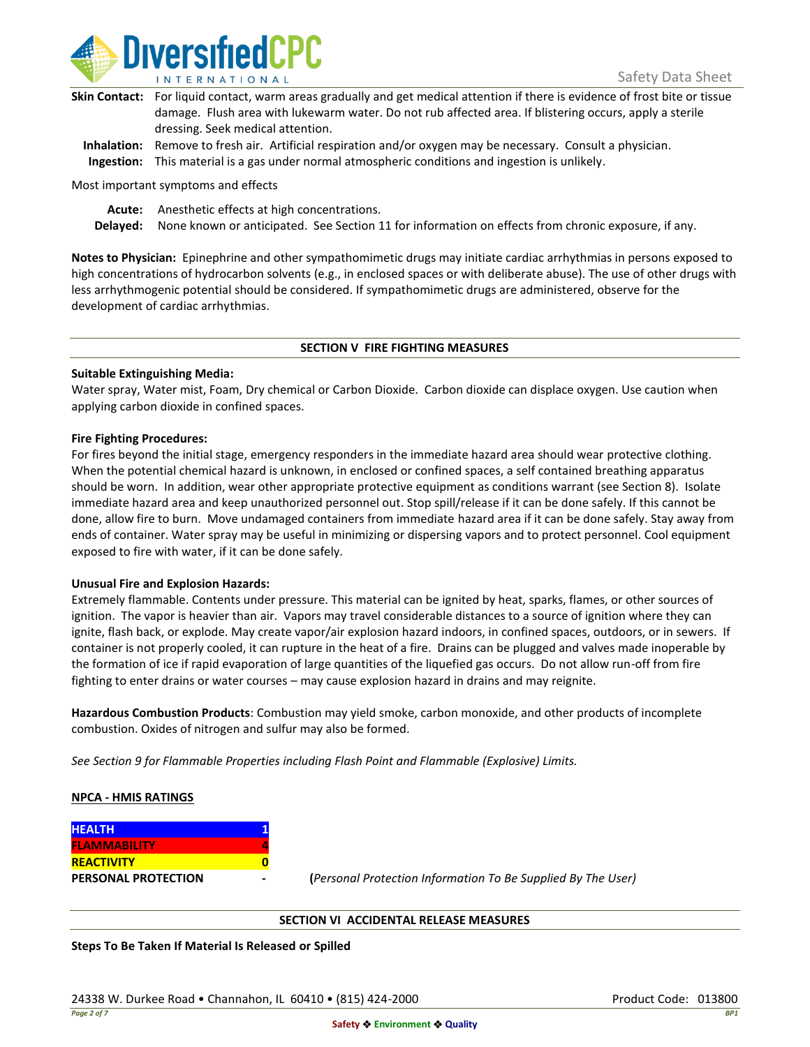

| Skin Contact: For liquid contact, warm areas gradually and get medical attention if there is evidence of frost bite or tissue |
|-------------------------------------------------------------------------------------------------------------------------------|
| damage. Flush area with lukewarm water. Do not rub affected area. If blistering occurs, apply a sterile                       |
| dressing. Seek medical attention.                                                                                             |
|                                                                                                                               |

**Inhalation:** Remove to fresh air. Artificial respiration and/or oxygen may be necessary. Consult a physician. **Ingestion:** This material is a gas under normal atmospheric conditions and ingestion is unlikely.

Most important symptoms and effects

**Acute:** Anesthetic effects at high concentrations.

**Delayed:** None known or anticipated. See Section 11 for information on effects from chronic exposure, if any.

**Notes to Physician:** Epinephrine and other sympathomimetic drugs may initiate cardiac arrhythmias in persons exposed to high concentrations of hydrocarbon solvents (e.g., in enclosed spaces or with deliberate abuse). The use of other drugs with less arrhythmogenic potential should be considered. If sympathomimetic drugs are administered, observe for the development of cardiac arrhythmias.

### **SECTION V FIRE FIGHTING MEASURES**

### **Suitable Extinguishing Media:**

Water spray, Water mist, Foam, Dry chemical or Carbon Dioxide. Carbon dioxide can displace oxygen. Use caution when applying carbon dioxide in confined spaces.

### **Fire Fighting Procedures:**

For fires beyond the initial stage, emergency responders in the immediate hazard area should wear protective clothing. When the potential chemical hazard is unknown, in enclosed or confined spaces, a self contained breathing apparatus should be worn. In addition, wear other appropriate protective equipment as conditions warrant (see Section 8). Isolate immediate hazard area and keep unauthorized personnel out. Stop spill/release if it can be done safely. If this cannot be done, allow fire to burn. Move undamaged containers from immediate hazard area if it can be done safely. Stay away from ends of container. Water spray may be useful in minimizing or dispersing vapors and to protect personnel. Cool equipment exposed to fire with water, if it can be done safely.

### **Unusual Fire and Explosion Hazards:**

Extremely flammable. Contents under pressure. This material can be ignited by heat, sparks, flames, or other sources of ignition. The vapor is heavier than air. Vapors may travel considerable distances to a source of ignition where they can ignite, flash back, or explode. May create vapor/air explosion hazard indoors, in confined spaces, outdoors, or in sewers. If container is not properly cooled, it can rupture in the heat of a fire. Drains can be plugged and valves made inoperable by the formation of ice if rapid evaporation of large quantities of the liquefied gas occurs. Do not allow run-off from fire fighting to enter drains or water courses – may cause explosion hazard in drains and may reignite.

**Hazardous Combustion Products**: Combustion may yield smoke, carbon monoxide, and other products of incomplete combustion. Oxides of nitrogen and sulfur may also be formed.

*See Section 9 for Flammable Properties including Flash Point and Flammable (Explosive) Limits.*

### **NPCA - HMIS RATINGS**

| <b>HEALTH</b>              |  |
|----------------------------|--|
| <b>FLAMMABILITY</b>        |  |
| <b>REACTIVITY</b>          |  |
| <b>PERSONAL PROTECTION</b> |  |

**PERSONAL PROTECTION - (***Personal Protection Information To Be Supplied By The User)*

### **SECTION VI ACCIDENTAL RELEASE MEASURES**

**Steps To Be Taken If Material Is Released or Spilled**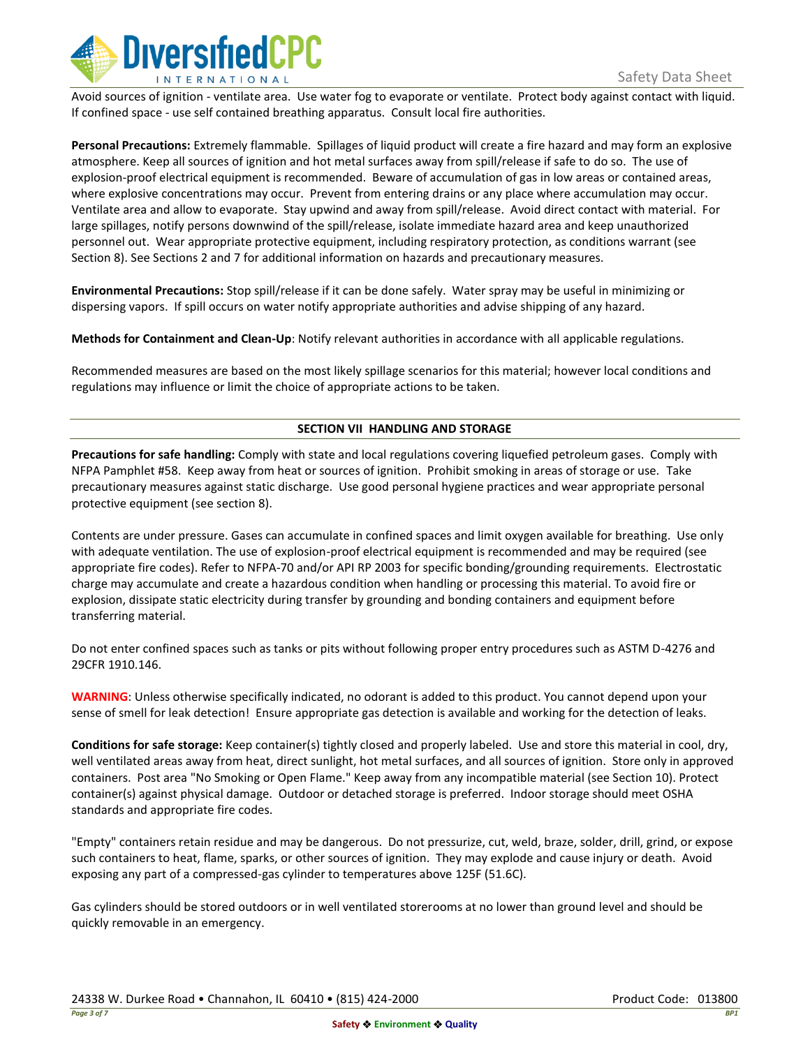

Avoid sources of ignition - ventilate area. Use water fog to evaporate or ventilate. Protect body against contact with liquid. If confined space - use self contained breathing apparatus. Consult local fire authorities.

**Personal Precautions:** Extremely flammable. Spillages of liquid product will create a fire hazard and may form an explosive atmosphere. Keep all sources of ignition and hot metal surfaces away from spill/release if safe to do so. The use of explosion-proof electrical equipment is recommended. Beware of accumulation of gas in low areas or contained areas, where explosive concentrations may occur. Prevent from entering drains or any place where accumulation may occur. Ventilate area and allow to evaporate. Stay upwind and away from spill/release. Avoid direct contact with material. For large spillages, notify persons downwind of the spill/release, isolate immediate hazard area and keep unauthorized personnel out. Wear appropriate protective equipment, including respiratory protection, as conditions warrant (see Section 8). See Sections 2 and 7 for additional information on hazards and precautionary measures.

**Environmental Precautions:** Stop spill/release if it can be done safely. Water spray may be useful in minimizing or dispersing vapors. If spill occurs on water notify appropriate authorities and advise shipping of any hazard.

**Methods for Containment and Clean-Up**: Notify relevant authorities in accordance with all applicable regulations.

Recommended measures are based on the most likely spillage scenarios for this material; however local conditions and regulations may influence or limit the choice of appropriate actions to be taken.

## **SECTION VII HANDLING AND STORAGE**

**Precautions for safe handling:** Comply with state and local regulations covering liquefied petroleum gases. Comply with NFPA Pamphlet #58. Keep away from heat or sources of ignition. Prohibit smoking in areas of storage or use. Take precautionary measures against static discharge. Use good personal hygiene practices and wear appropriate personal protective equipment (see section 8).

Contents are under pressure. Gases can accumulate in confined spaces and limit oxygen available for breathing. Use only with adequate ventilation. The use of explosion-proof electrical equipment is recommended and may be required (see appropriate fire codes). Refer to NFPA-70 and/or API RP 2003 for specific bonding/grounding requirements. Electrostatic charge may accumulate and create a hazardous condition when handling or processing this material. To avoid fire or explosion, dissipate static electricity during transfer by grounding and bonding containers and equipment before transferring material.

Do not enter confined spaces such as tanks or pits without following proper entry procedures such as ASTM D-4276 and 29CFR 1910.146.

**WARNING**: Unless otherwise specifically indicated, no odorant is added to this product. You cannot depend upon your sense of smell for leak detection! Ensure appropriate gas detection is available and working for the detection of leaks.

**Conditions for safe storage:** Keep container(s) tightly closed and properly labeled. Use and store this material in cool, dry, well ventilated areas away from heat, direct sunlight, hot metal surfaces, and all sources of ignition. Store only in approved containers. Post area "No Smoking or Open Flame." Keep away from any incompatible material (see Section 10). Protect container(s) against physical damage. Outdoor or detached storage is preferred. Indoor storage should meet OSHA standards and appropriate fire codes.

"Empty" containers retain residue and may be dangerous. Do not pressurize, cut, weld, braze, solder, drill, grind, or expose such containers to heat, flame, sparks, or other sources of ignition. They may explode and cause injury or death. Avoid exposing any part of a compressed-gas cylinder to temperatures above 125F (51.6C).

Gas cylinders should be stored outdoors or in well ventilated storerooms at no lower than ground level and should be quickly removable in an emergency.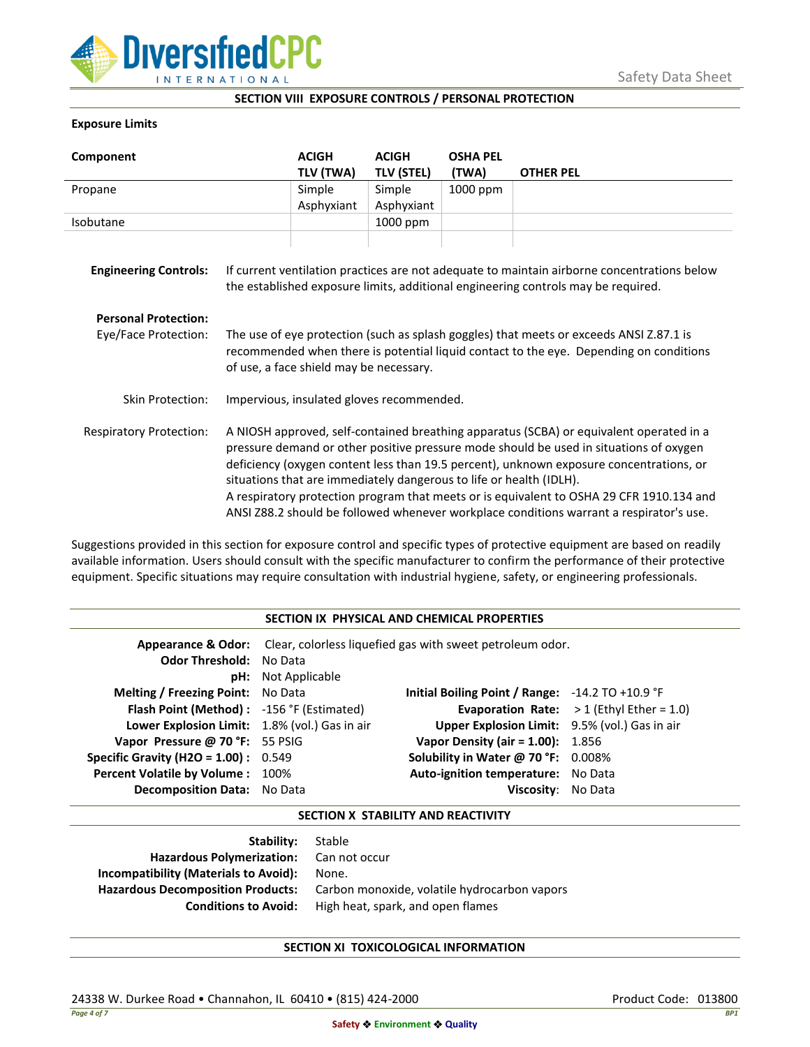

### **SECTION VIII EXPOSURE CONTROLS / PERSONAL PROTECTION**

### **Exposure Limits**

| Component                      |                                                                                                                                                                                                                                                                                                                                                                                                                                                                                                                                            | <b>ACIGH</b><br>TLV (TWA) | <b>ACIGH</b><br><b>TLV (STEL)</b> | <b>OSHA PEL</b><br>(TWA) | <b>OTHER PEL</b> |
|--------------------------------|--------------------------------------------------------------------------------------------------------------------------------------------------------------------------------------------------------------------------------------------------------------------------------------------------------------------------------------------------------------------------------------------------------------------------------------------------------------------------------------------------------------------------------------------|---------------------------|-----------------------------------|--------------------------|------------------|
| Propane                        |                                                                                                                                                                                                                                                                                                                                                                                                                                                                                                                                            | Simple                    | Simple                            | 1000 ppm                 |                  |
|                                |                                                                                                                                                                                                                                                                                                                                                                                                                                                                                                                                            | Asphyxiant                | Asphyxiant                        |                          |                  |
| Isobutane                      |                                                                                                                                                                                                                                                                                                                                                                                                                                                                                                                                            |                           | 1000 ppm                          |                          |                  |
| <b>Engineering Controls:</b>   | If current ventilation practices are not adequate to maintain airborne concentrations below<br>the established exposure limits, additional engineering controls may be required.                                                                                                                                                                                                                                                                                                                                                           |                           |                                   |                          |                  |
| <b>Personal Protection:</b>    |                                                                                                                                                                                                                                                                                                                                                                                                                                                                                                                                            |                           |                                   |                          |                  |
| Eye/Face Protection:           | The use of eye protection (such as splash goggles) that meets or exceeds ANSI Z.87.1 is<br>recommended when there is potential liquid contact to the eye. Depending on conditions<br>of use, a face shield may be necessary.                                                                                                                                                                                                                                                                                                               |                           |                                   |                          |                  |
| Skin Protection:               | Impervious, insulated gloves recommended.                                                                                                                                                                                                                                                                                                                                                                                                                                                                                                  |                           |                                   |                          |                  |
| <b>Respiratory Protection:</b> | A NIOSH approved, self-contained breathing apparatus (SCBA) or equivalent operated in a<br>pressure demand or other positive pressure mode should be used in situations of oxygen<br>deficiency (oxygen content less than 19.5 percent), unknown exposure concentrations, or<br>situations that are immediately dangerous to life or health (IDLH).<br>A respiratory protection program that meets or is equivalent to OSHA 29 CFR 1910.134 and<br>ANSI Z88.2 should be followed whenever workplace conditions warrant a respirator's use. |                           |                                   |                          |                  |

Suggestions provided in this section for exposure control and specific types of protective equipment are based on readily available information. Users should consult with the specific manufacturer to confirm the performance of their protective equipment. Specific situations may require consultation with industrial hygiene, safety, or engineering professionals.

### **SECTION IX PHYSICAL AND CHEMICAL PROPERTIES**

| <b>Odor Threshold: No Data</b>                | <b>pH:</b> Not Applicable | <b>Appearance &amp; Odor:</b> Clear, colorless liquefied gas with sweet petroleum odor. |                                                   |
|-----------------------------------------------|---------------------------|-----------------------------------------------------------------------------------------|---------------------------------------------------|
| <b>Melting / Freezing Point:</b> No Data      |                           | Initial Boiling Point / Range: $-14.2$ TO $+10.9$ °F                                    |                                                   |
| Flash Point (Method): -156 °F (Estimated)     |                           |                                                                                         | <b>Evaporation Rate:</b> $>1$ (Ethyl Ether = 1.0) |
| Lower Explosion Limit: 1.8% (vol.) Gas in air |                           | Upper Explosion Limit: 9.5% (vol.) Gas in air                                           |                                                   |
| Vapor Pressure @ 70 °F: 55 PSIG               |                           | <b>Vapor Density (air = 1.00):</b> 1.856                                                |                                                   |
| <b>Specific Gravity (H2O = 1.00):</b> $0.549$ |                           | Solubility in Water @ 70 °F: 0.008%                                                     |                                                   |
| Percent Volatile by Volume: 100%              |                           | Auto-ignition temperature: No Data                                                      |                                                   |
| <b>Decomposition Data:</b> No Data            |                           | Viscosity: No Data                                                                      |                                                   |

### **SECTION X STABILITY AND REACTIVITY**

| Stable                                       |
|----------------------------------------------|
| Hazardous Polymerization: Can not occur      |
| None.                                        |
| Carbon monoxide, volatile hydrocarbon vapors |
| High heat, spark, and open flames            |
|                                              |

# **SECTION XI TOXICOLOGICAL INFORMATION**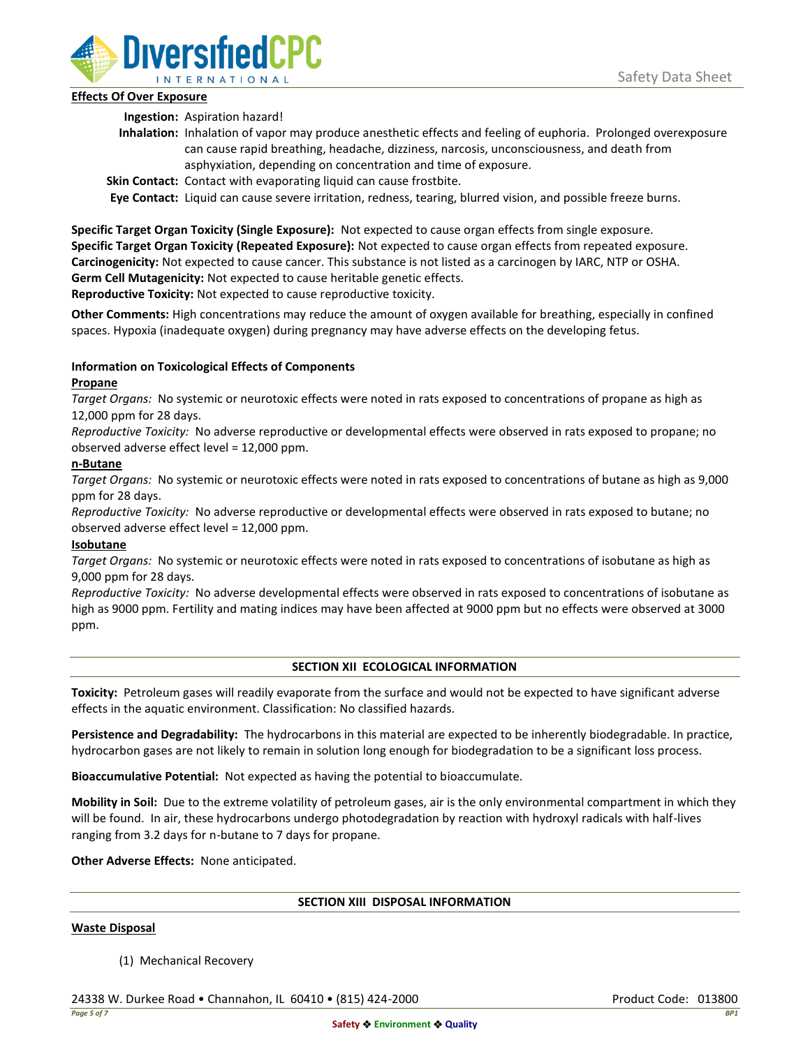

## **Effects Of Over Exposure**

**Ingestion:** Aspiration hazard!

- **Inhalation:** Inhalation of vapor may produce anesthetic effects and feeling of euphoria. Prolonged overexposure can cause rapid breathing, headache, dizziness, narcosis, unconsciousness, and death from asphyxiation, depending on concentration and time of exposure.
- **Skin Contact:** Contact with evaporating liquid can cause frostbite.

**Eye Contact:** Liquid can cause severe irritation, redness, tearing, blurred vision, and possible freeze burns.

**Specific Target Organ Toxicity (Single Exposure):** Not expected to cause organ effects from single exposure. **Specific Target Organ Toxicity (Repeated Exposure):** Not expected to cause organ effects from repeated exposure. **Carcinogenicity:** Not expected to cause cancer. This substance is not listed as a carcinogen by IARC, NTP or OSHA. **Germ Cell Mutagenicity:** Not expected to cause heritable genetic effects.

**Reproductive Toxicity:** Not expected to cause reproductive toxicity.

**Other Comments:** High concentrations may reduce the amount of oxygen available for breathing, especially in confined spaces. Hypoxia (inadequate oxygen) during pregnancy may have adverse effects on the developing fetus.

# **Information on Toxicological Effects of Components**

## **Propane**

*Target Organs:* No systemic or neurotoxic effects were noted in rats exposed to concentrations of propane as high as 12,000 ppm for 28 days.

*Reproductive Toxicity:* No adverse reproductive or developmental effects were observed in rats exposed to propane; no observed adverse effect level = 12,000 ppm.

## **n-Butane**

*Target Organs:* No systemic or neurotoxic effects were noted in rats exposed to concentrations of butane as high as 9,000 ppm for 28 days.

*Reproductive Toxicity:* No adverse reproductive or developmental effects were observed in rats exposed to butane; no observed adverse effect level = 12,000 ppm.

# **Isobutane**

*Target Organs:* No systemic or neurotoxic effects were noted in rats exposed to concentrations of isobutane as high as 9,000 ppm for 28 days.

*Reproductive Toxicity:* No adverse developmental effects were observed in rats exposed to concentrations of isobutane as high as 9000 ppm. Fertility and mating indices may have been affected at 9000 ppm but no effects were observed at 3000 ppm.

# **SECTION XII ECOLOGICAL INFORMATION**

**Toxicity:** Petroleum gases will readily evaporate from the surface and would not be expected to have significant adverse effects in the aquatic environment. Classification: No classified hazards.

**Persistence and Degradability:** The hydrocarbons in this material are expected to be inherently biodegradable. In practice, hydrocarbon gases are not likely to remain in solution long enough for biodegradation to be a significant loss process.

**Bioaccumulative Potential:** Not expected as having the potential to bioaccumulate.

**Mobility in Soil:** Due to the extreme volatility of petroleum gases, air is the only environmental compartment in which they will be found. In air, these hydrocarbons undergo photodegradation by reaction with hydroxyl radicals with half-lives ranging from 3.2 days for n-butane to 7 days for propane.

**Other Adverse Effects:** None anticipated.

# **SECTION XIII DISPOSAL INFORMATION**

### **Waste Disposal**

(1) Mechanical Recovery

24338 W. Durkee Road • Channahon, IL 60410 • (815) 424-2000 Product Code: 013800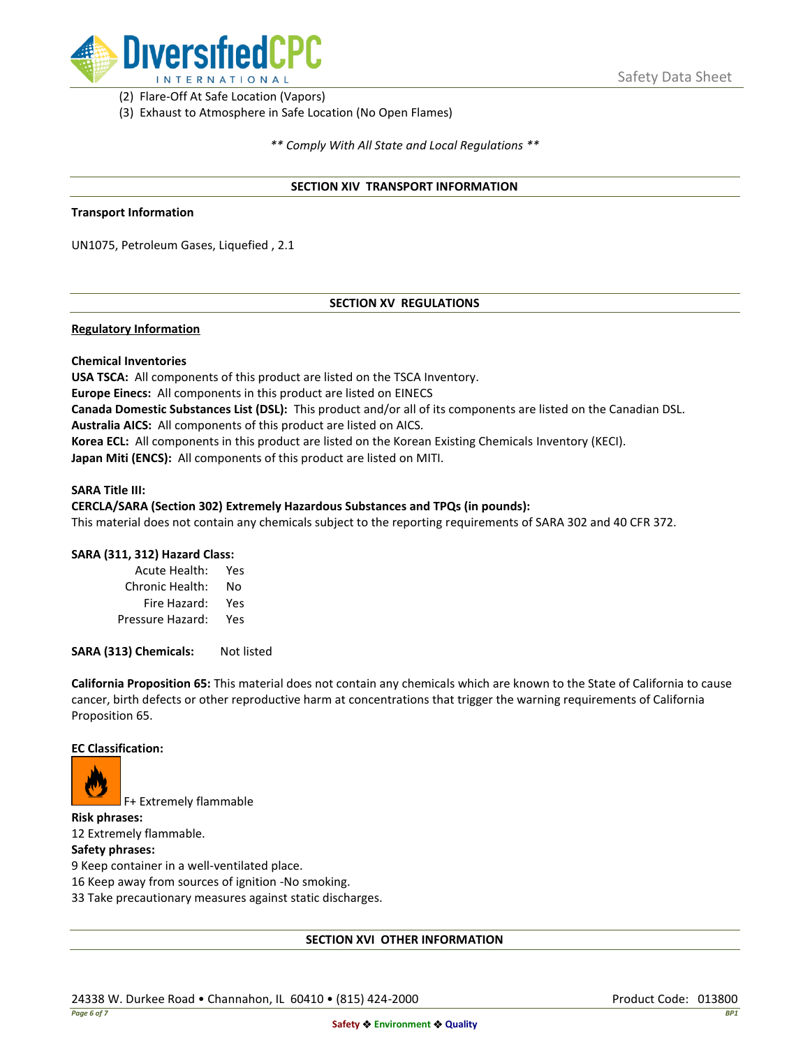

(2) Flare-Off At Safe Location (Vapors)

(3) Exhaust to Atmosphere in Safe Location (No Open Flames)

*\*\* Comply With All State and Local Regulations \*\**

### **SECTION XIV TRANSPORT INFORMATION**

#### **Transport Information**

UN1075, Petroleum Gases, Liquefied , 2.1

## **SECTION XV REGULATIONS**

### **Regulatory Information**

### **Chemical Inventories**

**USA TSCA:** All components of this product are listed on the TSCA Inventory. **Europe Einecs:** All components in this product are listed on EINECS **Canada Domestic Substances List (DSL):** This product and/or all of its components are listed on the Canadian DSL. **Australia AICS:** All components of this product are listed on AICS. **Korea ECL:** All components in this product are listed on the Korean Existing Chemicals Inventory (KECI). **Japan Miti (ENCS):** All components of this product are listed on MITI.

#### **SARA Title III:**

### **CERCLA/SARA (Section 302) Extremely Hazardous Substances and TPQs (in pounds):**

This material does not contain any chemicals subject to the reporting requirements of SARA 302 and 40 CFR 372.

### **SARA (311, 312) Hazard Class:**

| Acute Health:    | Yes |
|------------------|-----|
| Chronic Health:  | No  |
| Fire Hazard:     | Yes |
| Pressure Hazard: | Yes |

**SARA (313) Chemicals:** Not listed

**California Proposition 65:** This material does not contain any chemicals which are known to the State of California to cause cancer, birth defects or other reproductive harm at concentrations that trigger the warning requirements of California Proposition 65.

#### **EC Classification:**



F+ Extremely flammable

**Risk phrases:** 12 Extremely flammable.

### **Safety phrases:**

9 Keep container in a well-ventilated place.

16 Keep away from sources of ignition -No smoking.

33 Take precautionary measures against static discharges.

### **SECTION XVI OTHER INFORMATION**